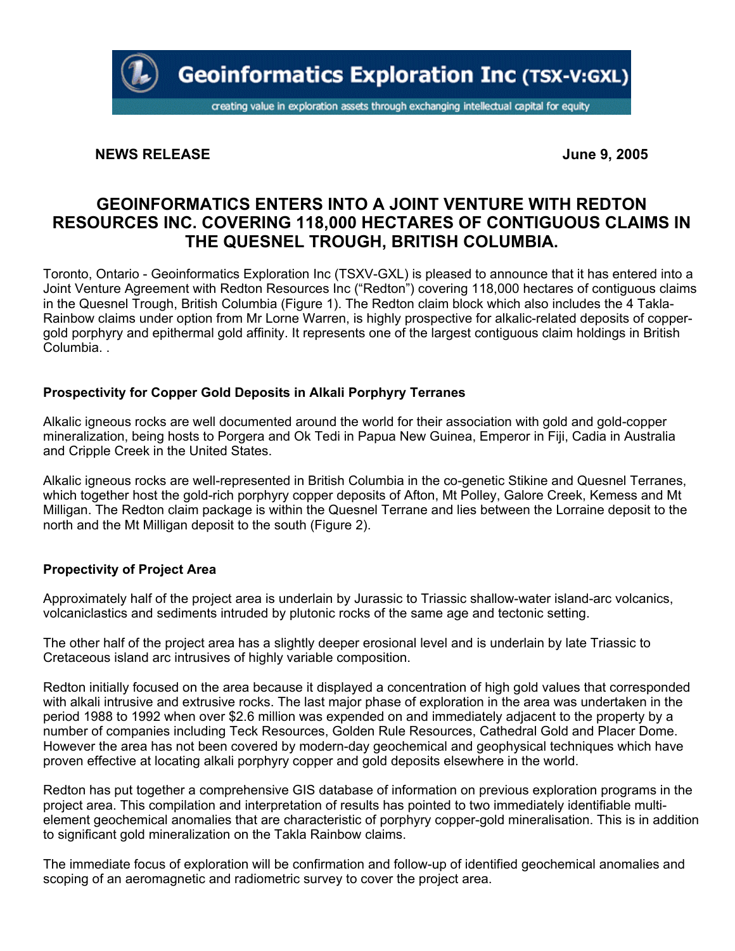

# **NEWS RELEASE** June 9, 2005

# **GEOINFORMATICS ENTERS INTO A JOINT VENTURE WITH REDTON RESOURCES INC. COVERING 118,000 HECTARES OF CONTIGUOUS CLAIMS IN THE QUESNEL TROUGH, BRITISH COLUMBIA.**

Toronto, Ontario - Geoinformatics Exploration Inc (TSXV-GXL) is pleased to announce that it has entered into a Joint Venture Agreement with Redton Resources Inc ("Redton") covering 118,000 hectares of contiguous claims in the Quesnel Trough, British Columbia (Figure 1). The Redton claim block which also includes the 4 Takla-Rainbow claims under option from Mr Lorne Warren, is highly prospective for alkalic-related deposits of coppergold porphyry and epithermal gold affinity. It represents one of the largest contiguous claim holdings in British Columbia. .

## **Prospectivity for Copper Gold Deposits in Alkali Porphyry Terranes**

Alkalic igneous rocks are well documented around the world for their association with gold and gold-copper mineralization, being hosts to Porgera and Ok Tedi in Papua New Guinea, Emperor in Fiji, Cadia in Australia and Cripple Creek in the United States.

Alkalic igneous rocks are well-represented in British Columbia in the co-genetic Stikine and Quesnel Terranes, which together host the gold-rich porphyry copper deposits of Afton, Mt Polley, Galore Creek, Kemess and Mt Milligan. The Redton claim package is within the Quesnel Terrane and lies between the Lorraine deposit to the north and the Mt Milligan deposit to the south (Figure 2).

## **Propectivity of Project Area**

Approximately half of the project area is underlain by Jurassic to Triassic shallow-water island-arc volcanics, volcaniclastics and sediments intruded by plutonic rocks of the same age and tectonic setting.

The other half of the project area has a slightly deeper erosional level and is underlain by late Triassic to Cretaceous island arc intrusives of highly variable composition.

Redton initially focused on the area because it displayed a concentration of high gold values that corresponded with alkali intrusive and extrusive rocks. The last major phase of exploration in the area was undertaken in the period 1988 to 1992 when over \$2.6 million was expended on and immediately adjacent to the property by a number of companies including Teck Resources, Golden Rule Resources, Cathedral Gold and Placer Dome. However the area has not been covered by modern-day geochemical and geophysical techniques which have proven effective at locating alkali porphyry copper and gold deposits elsewhere in the world.

Redton has put together a comprehensive GIS database of information on previous exploration programs in the project area. This compilation and interpretation of results has pointed to two immediately identifiable multielement geochemical anomalies that are characteristic of porphyry copper-gold mineralisation. This is in addition to significant gold mineralization on the Takla Rainbow claims.

The immediate focus of exploration will be confirmation and follow-up of identified geochemical anomalies and scoping of an aeromagnetic and radiometric survey to cover the project area.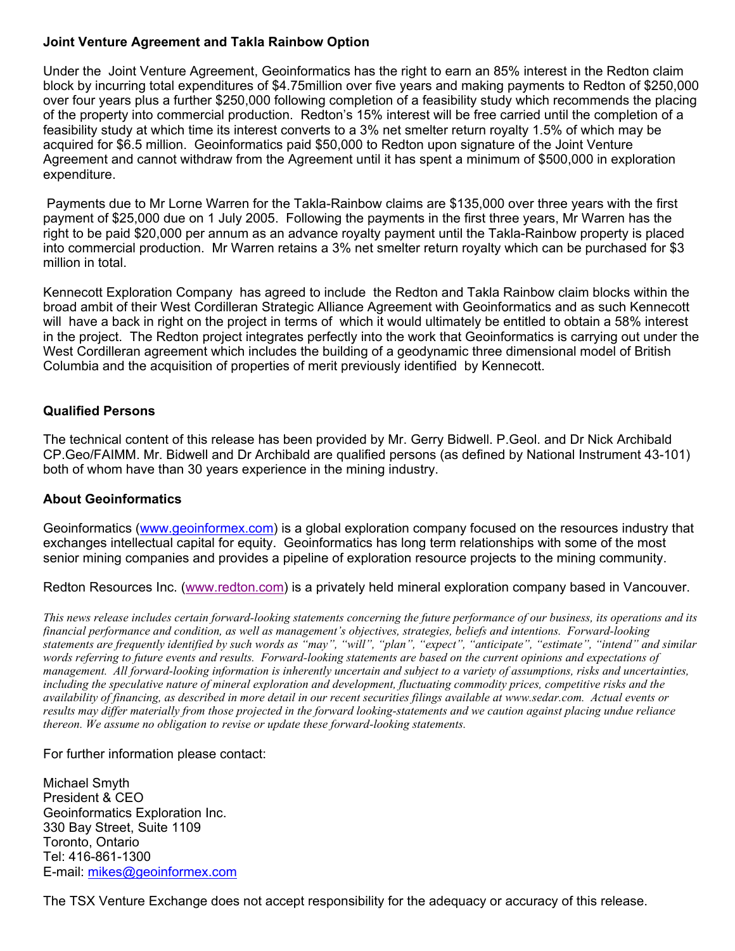# **Joint Venture Agreement and Takla Rainbow Option**

Under the Joint Venture Agreement, Geoinformatics has the right to earn an 85% interest in the Redton claim block by incurring total expenditures of \$4.75million over five years and making payments to Redton of \$250,000 over four years plus a further \$250,000 following completion of a feasibility study which recommends the placing of the property into commercial production. Redton's 15% interest will be free carried until the completion of a feasibility study at which time its interest converts to a 3% net smelter return royalty 1.5% of which may be acquired for \$6.5 million. Geoinformatics paid \$50,000 to Redton upon signature of the Joint Venture Agreement and cannot withdraw from the Agreement until it has spent a minimum of \$500,000 in exploration expenditure.

 Payments due to Mr Lorne Warren for the Takla-Rainbow claims are \$135,000 over three years with the first payment of \$25,000 due on 1 July 2005. Following the payments in the first three years, Mr Warren has the right to be paid \$20,000 per annum as an advance royalty payment until the Takla-Rainbow property is placed into commercial production. Mr Warren retains a 3% net smelter return royalty which can be purchased for \$3 million in total.

Kennecott Exploration Company has agreed to include the Redton and Takla Rainbow claim blocks within the broad ambit of their West Cordilleran Strategic Alliance Agreement with Geoinformatics and as such Kennecott will have a back in right on the project in terms of which it would ultimately be entitled to obtain a 58% interest in the project. The Redton project integrates perfectly into the work that Geoinformatics is carrying out under the West Cordilleran agreement which includes the building of a geodynamic three dimensional model of British Columbia and the acquisition of properties of merit previously identified by Kennecott.

# **Qualified Persons**

The technical content of this release has been provided by Mr. Gerry Bidwell. P.Geol. and Dr Nick Archibald CP.Geo/FAIMM. Mr. Bidwell and Dr Archibald are qualified persons (as defined by National Instrument 43-101) both of whom have than 30 years experience in the mining industry.

## **About Geoinformatics**

Geoinformatics (www.geoinformex.com) is a global exploration company focused on the resources industry that exchanges intellectual capital for equity. Geoinformatics has long term relationships with some of the most senior mining companies and provides a pipeline of exploration resource projects to the mining community.

Redton Resources Inc. (www.redton.com) is a privately held mineral exploration company based in Vancouver.

*This news release includes certain forward-looking statements concerning the future performance of our business, its operations and its financial performance and condition, as well as management's objectives, strategies, beliefs and intentions. Forward-looking statements are frequently identified by such words as "may", "will", "plan", "expect", "anticipate", "estimate", "intend" and similar words referring to future events and results. Forward-looking statements are based on the current opinions and expectations of management. All forward-looking information is inherently uncertain and subject to a variety of assumptions, risks and uncertainties, including the speculative nature of mineral exploration and development, fluctuating commodity prices, competitive risks and the availability of financing, as described in more detail in our recent securities filings available at www.sedar.com. Actual events or results may differ materially from those projected in the forward looking-statements and we caution against placing undue reliance thereon. We assume no obligation to revise or update these forward-looking statements.* 

## For further information please contact:

Michael Smyth President & CEO Geoinformatics Exploration Inc. 330 Bay Street, Suite 1109 Toronto, Ontario Tel: 416-861-1300 E-mail: mikes@geoinformex.com

The TSX Venture Exchange does not accept responsibility for the adequacy or accuracy of this release.